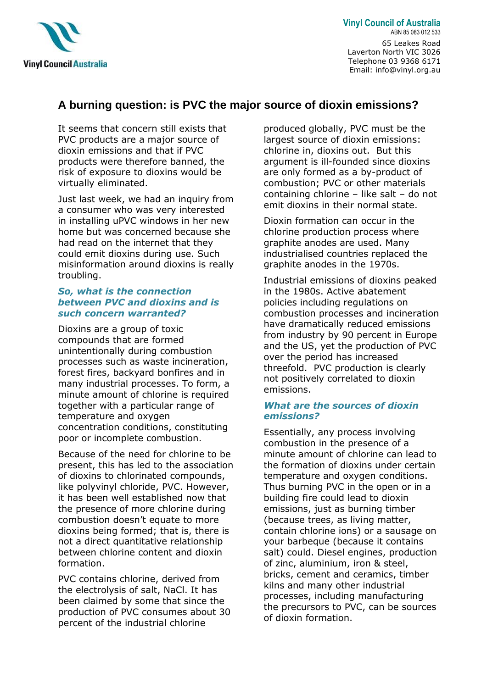

**Vinyl Council of Australia** ABN 85 083 012 533 65 Leakes Road Laverton North VIC 3026 Telephone 03 9368 6171 Email: info@vinyl.org.au

# **A burning question: is PVC the major source of dioxin emissions?**

It seems that concern still exists that PVC products are a major source of dioxin emissions and that if PVC products were therefore banned, the risk of exposure to dioxins would be virtually eliminated.

Just last week, we had an inquiry from a consumer who was very interested in installing uPVC windows in her new home but was concerned because she had read on the internet that they could emit dioxins during use. Such misinformation around dioxins is really troubling.

#### *So, what is the connection between PVC and dioxins and is such concern warranted?*

Dioxins are a group of toxic compounds that are formed unintentionally during combustion processes such as waste incineration, forest fires, backyard bonfires and in many industrial processes. To form, a minute amount of chlorine is required together with a particular range of temperature and oxygen concentration conditions, constituting poor or incomplete combustion.

Because of the need for chlorine to be present, this has led to the association of dioxins to chlorinated compounds, like polyvinyl chloride, PVC. However, it has been well established now that the presence of more chlorine during combustion doesn't equate to more dioxins being formed; that is, there is not a direct quantitative relationship between chlorine content and dioxin formation.

PVC contains chlorine, derived from the electrolysis of salt, NaCl. It has been claimed by some that since the production of PVC consumes about 30 percent of the industrial chlorine

produced globally, PVC must be the largest source of dioxin emissions: chlorine in, dioxins out. But this argument is ill-founded since dioxins are only formed as a by-product of combustion; PVC or other materials containing chlorine – like salt – do not emit dioxins in their normal state.

Dioxin formation can occur in the chlorine production process where graphite anodes are used. Many industrialised countries replaced the graphite anodes in the 1970s.

Industrial emissions of dioxins peaked in the 1980s. Active abatement policies including regulations on combustion processes and incineration have dramatically reduced emissions from industry by 90 percent in Europe and the US, yet the production of PVC over the period has increased threefold. PVC production is clearly not positively correlated to dioxin emissions.

### *What are the sources of dioxin emissions?*

Essentially, any process involving combustion in the presence of a minute amount of chlorine can lead to the formation of dioxins under certain temperature and oxygen conditions. Thus burning PVC in the open or in a building fire could lead to dioxin emissions, just as burning timber (because trees, as living matter, contain chlorine ions) or a sausage on your barbeque (because it contains salt) could. Diesel engines, production of zinc, aluminium, iron & steel, bricks, cement and ceramics, timber kilns and many other industrial processes, including manufacturing the precursors to PVC, can be sources of dioxin formation.